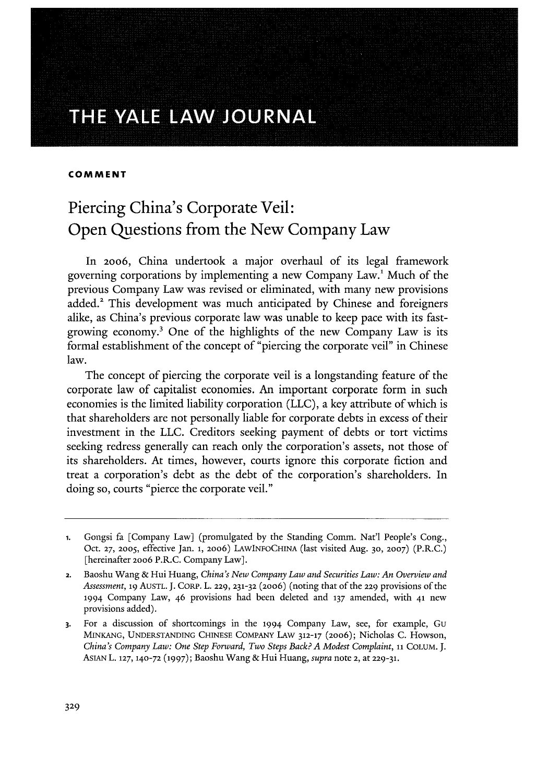# THE YALE LAW JOURNAL

## **COMMENT**

# Piercing China's Corporate Veil: Open Questions from the New Company Law

In 2006, China undertook a major overhaul of its legal framework governing corporations by implementing a new Company Law.' Much of the previous Company Law was revised or eliminated, with many new provisions added.<sup>2</sup> This development was much anticipated by Chinese and foreigners alike, as China's previous corporate law was unable to keep pace with its fastgrowing economy.3 One of the highlights of the new Company Law is its formal establishment of the concept of "piercing the corporate veil" in Chinese law.

The concept of piercing the corporate veil is a longstanding feature of the corporate law of capitalist economies. An important corporate form in such economies is the limited liability corporation (LLC), a key attribute of which is that shareholders are not personally liable for corporate debts in excess of their investment in the LLC. Creditors seeking payment of debts or tort victims seeking redress generally can reach only the corporation's assets, not those of its shareholders. At times, however, courts ignore this corporate fiction and treat a corporation's debt as the debt of the corporation's shareholders. In doing so, courts "pierce the corporate veil."

**<sup>1.</sup>** Gongsi fa [Company Law] (promulgated by the Standing Comm. Nat'l People's Cong., Oct. **27,** 2005, effective Jan. **i,** 2006) LAWINFOCHINA (last visited Aug. **30, 2007)** (P.R.C.) [hereinafter 20o6 P.R.C. Company Law].

**<sup>2.</sup>** Baoshu Wang & Hui Huang, *China's New Company Law and Securities Law: An Overview and Assessment,* **19** AUSTL. J. CoRP. L. 229, **231-32** (2006) (noting that of the 229 provisions of the 1994 Company Law, 46 provisions had been deleted and **137** amended, with 41 new provisions added).

**<sup>3.</sup>** For a discussion of shortcomings in the 1994 Company Law, see, for example, Gu MINKANG, UNDERSTANDING CHINESE COMPANY LAW 312-17 (2006); Nicholas C. Howson, *China's Company Law: One Step Forward, Two Steps Back? A Modest Complaint, 11* COLUM. J. ASIAN L. **127, 140-72 (1997);** Baoshu Wang & Hui Huang, *supra* note 2, at **229-31.**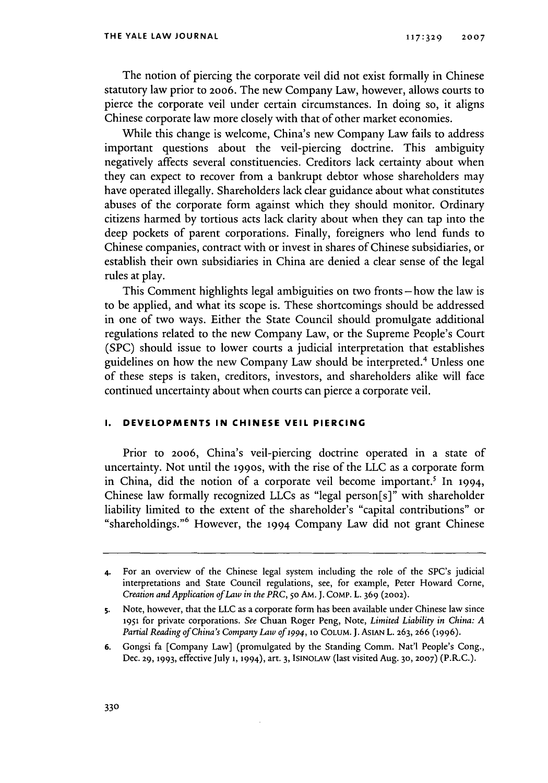The notion of piercing the corporate veil did not exist formally in Chinese statutory law prior to 2006. The new Company Law, however, allows courts to pierce the corporate veil under certain circumstances. In doing so, it aligns Chinese corporate law more closely with that of other market economies.

While this change is welcome, China's new Company Law fails to address important questions about the veil-piercing doctrine. This ambiguity negatively affects several constituencies. Creditors lack certainty about when they can expect to recover from a bankrupt debtor whose shareholders may have operated illegally. Shareholders lack clear guidance about what constitutes abuses of the corporate form against which they should monitor. Ordinary citizens harmed by tortious acts lack clarity about when they can tap into the deep pockets of parent corporations. Finally, foreigners who lend funds to Chinese companies, contract with or invest in shares of Chinese subsidiaries, or establish their own subsidiaries in China are denied a clear sense of the legal rules at play.

This Comment highlights legal ambiguities on two fronts- how the law is to be applied, and what its scope is. These shortcomings should be addressed in one of two ways. Either the State Council should promulgate additional regulations related to the new Company Law, or the Supreme People's Court (SPC) should issue to lower courts a judicial interpretation that establishes guidelines on how the new Company Law should be interpreted.4 Unless one of these steps is taken, creditors, investors, and shareholders alike will face continued uncertainty about when courts can pierce a corporate veil.

# **I. DEVELOPMENTS IN CHINESE VEIL PIERCING**

Prior to 2006, China's veil-piercing doctrine operated in a state of uncertainty. Not until the 199os, with the rise of the LLC as a corporate form in China, did the notion of a corporate veil become important.<sup>5</sup> In 1994, Chinese law formally recognized LLCs as "legal person[s]" with shareholder liability limited to the extent of the shareholder's "capital contributions" or "shareholdings. '6 However, the 1994 Company Law did not grant Chinese

**6.** Gongsi fa [Company Law] (promulgated by the Standing Comm. Nat'l People's Cong., Dec. **29, 1993,** effective July 1, 1994), art. **3, ISINOLAW** (last visited Aug. **30, 2007)** (P.RC.).

**<sup>4.</sup>** For an overview of the Chinese legal system including the role of the SPC's judicial interpretations and State Council regulations, see, for example, Peter Howard Come, *Creation and Application of Law in the PRC,* **5o** AM. **J.** COMP. L. 369 (2O02).

**S.** Note, however, that the LLC as a corporate form has been available under Chinese law since 1951 for private corporations. *See* Chuan Roger Peng, Note, *Limited Liability in China: A Partial Reading of China's Company Law of* 1994, **10 COLUM. J. ASIAN** L. **263, 266 (1996).**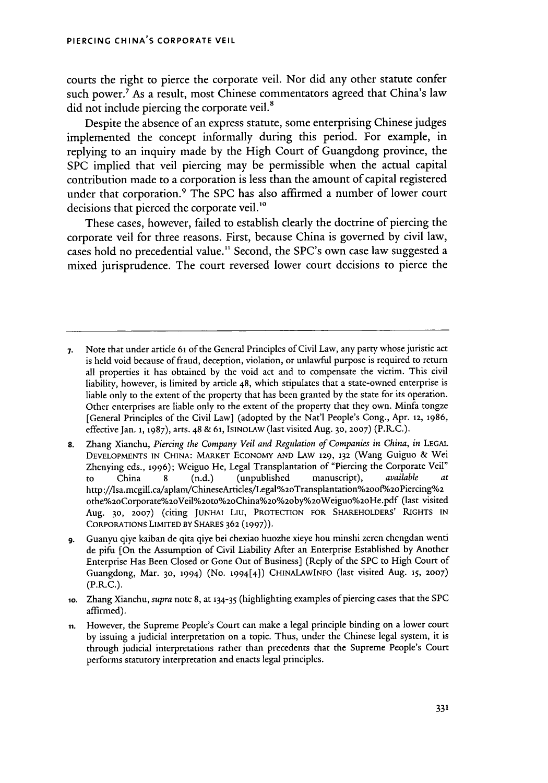courts the right to pierce the corporate veil. Nor did any other statute confer such power.7 As a result, most Chinese commentators agreed that China's law did not include piercing the corporate veil.<sup>8</sup>

Despite the absence of an express statute, some enterprising Chinese judges implemented the concept informally during this period. For example, in replying to an inquiry made by the High Court of Guangdong province, the SPC implied that veil piercing may be permissible when the actual capital contribution made to a corporation is less than the amount of capital registered under that corporation.<sup>9</sup> The SPC has also affirmed a number of lower court decisions that pierced the corporate veil.<sup>10</sup>

These cases, however, failed to establish clearly the doctrine of piercing the corporate veil for three reasons. First, because China is governed by civil law, cases hold no precedential value." Second, the SPC's own case law suggested a mixed jurisprudence. The court reversed lower court decisions to pierce the

- **7.** Note that under article 61 of the General Principles of Civil Law, any party whose juristic act is held void because of fraud, deception, violation, or unlawful purpose is required to return all properties it has obtained by the void act and to compensate the victim. This civil liability, however, is limited by article 48, which stipulates that a state-owned enterprise is liable only to the extent of the property that has been granted by the state for its operation. Other enterprises are liable only to the extent of the property that they own. Minfa tongze [General Principles of the Civil Law] (adopted by the Nat'l People's Cong., Apr. 12, **1986,** effective Jan. 1, **1987),** arts. 48 & **61, ISINOLAW** (last visited Aug. **30, 2007)** (P.R.C.).
- **8.** Zhang Xianchu, *Piercing the Company Veil and Regulation of Companies in China, in* **LEGAL DEVELOPMENTS IN CHINA:** MARKET **ECONOMY AND** LAW 129, **132** (Wang Guiguo & Wei Zhenying eds., **1996);** Weiguo He, Legal Transplantation of "Piercing the Corporate Veil" to China 8 (n.d.) (unpublished manuscript), *available* http://lsa.mcgill.ca/aplam/ChineseArticles/Legal%20Transplantation%200f%20Piercing%2 othe%20Corporate%2oVeil%2Oto%2OChina%20%2oby%2oWeiguo%2oHe.pdf (last visited Aug. **30, 2007)** (citing **JUNHAi** Liu, PROTECTION FOR SHAREHOLDERS' RIGHTS IN CORPORATIONS LIMITED BY SHARES **362 (1997)).**
- **9.** Guanyu qiye kaiban de qita qiye bei chexiao huozhe xieye hou minshi zeren chengdan wenti de pifu (On the Assumption of Civil Liability After an Enterprise Established by Another Enterprise Has Been Closed or Gone Out of Business] (Reply of the SPC to High Court of Guangdong, Mar. **30,** 1994) (No. 1994[4]) CHINALAWINFO (last visited Aug. **15, 2007)**  $(P.R.C.).$
- io. Zhang Xianchu, *supra* note 8, at 134-35 (highlighting examples of piercing cases that the SPC affirmed).
- **ii.** However, the Supreme People's Court can make a legal principle binding on a lower court by issuing a judicial interpretation on a topic. Thus, under the Chinese legal system, it is through judicial interpretations rather than precedents that the Supreme People's Court performs statutory interpretation and enacts legal principles.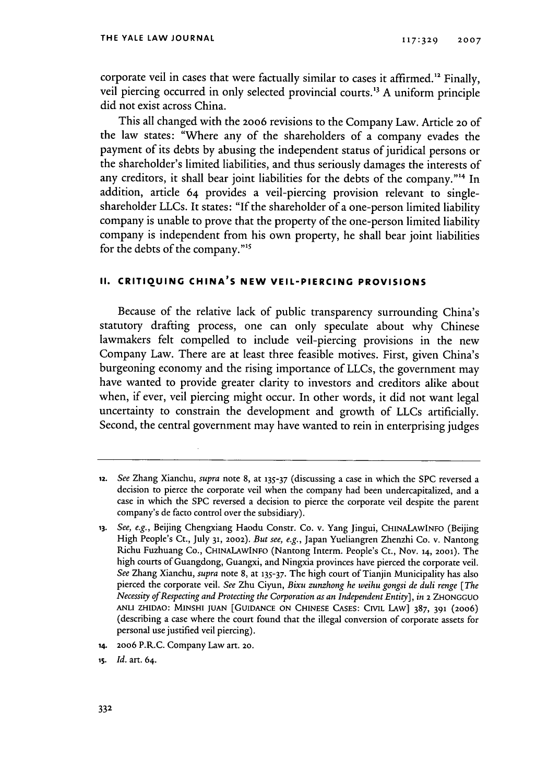corporate veil in cases that were factually similar to cases it affirmed.<sup>12</sup> Finally, veil piercing occurred in only selected provincial courts.'3 **A** uniform principle did not exist across China.

This all changed with the **20o6** revisions to the Company Law. Article **20 of** the law states: "Where any of the shareholders of a company evades the payment of its debts by abusing the independent status of juridical persons or the shareholder's limited liabilities, and thus seriously damages the interests of any creditors, it shall bear joint liabilities for the debts of the company."<sup>14</sup> In addition, article 64 provides a veil-piercing provision relevant to singleshareholder LLCs. It states: **"If** the shareholder of a one-person limited liability company is unable to prove that the property of the one-person limited liability company is independent from his own property, he shall bear joint liabilities for the debts of the company."<sup>15</sup>

# **II. CRITIQUING CHINA'S NEW VEIL-PIERCING PROVISIONS**

Because of the relative lack of public transparency surrounding China's statutory drafting process, one can only speculate about why Chinese lawmakers felt compelled to include veil-piercing provisions in the new Company Law. There are at least three feasible motives. First, given China's burgeoning economy and the rising importance of LLCs, the government may have wanted to provide greater clarity to investors and creditors alike about when, if ever, veil piercing might occur. In other words, it did not want legal uncertainty to constrain the development and growth of LLCs artificially. Second, the central government may have wanted to rein in enterprising judges

- **14. 2006** P.R.C. Company Law art. **20.**
- **i5.** *Id.* art. 64.

**<sup>12.</sup>** *See* Zhang Xianchu, *supra* note 8, at **135-37** (discussing a case in which the SPC reversed a decision to pierce the corporate veil when the company had been undercapitalized, and a case in which the SPC reversed a decision to pierce the corporate veil despite the parent company's de facto control over the subsidiary).

*<sup>13.</sup> See, e.g.,* Beijing Chengxiang Haodu Constr. Co. v. Yang Jingui, **CHINALAWINFO** (Beijing High People's Ct., July **31, 2002).** *But see, e.g.,* Japan Yueliangren Zhenzhi Co. v. Nantong Richu Fuzhuang Co., **CHINALAWINFO** (Nantong Interm. People's Ct., Nov. **14, 2001).** The high courts of Guangdong, Guangxi, and Ningxia provinces have pierced the corporate veil. *See* Zhang Xianchu, *supra* note **8,** at **135-37.** The high court of Tianjin Municipality has also pierced the corporate veil. *See* Zhu Ciyun, *Bixu zunzhong he weihu gongsi de duli renge [The Necessity of Respecting and Protecting the Corporation as an Independent Entity], in* **2 ZHONGGUO ANLI** ZHIDAO: MINSHI **JUAN** [GuIDANcE **ON CHINESE CASES:** CnVL **LAW]** 387, **391** (2006) (describing a case where the court found that the illegal conversion of corporate assets for personal use justified veil piercing).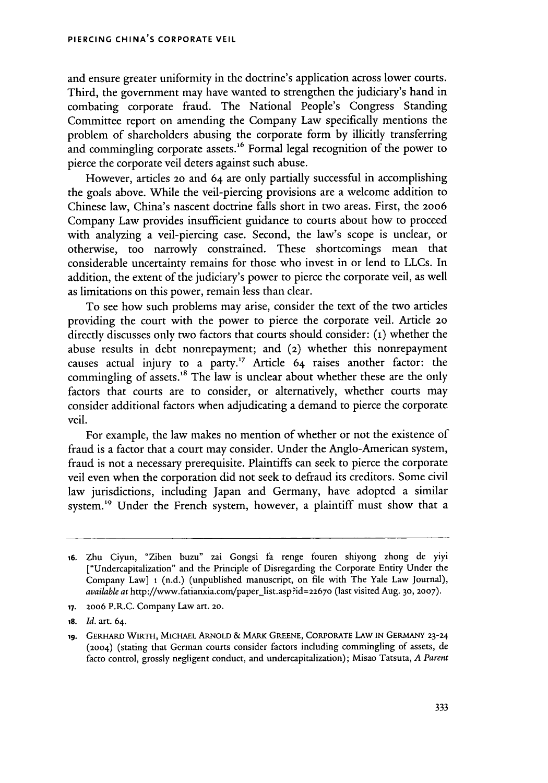and ensure greater uniformity in the doctrine's application across lower courts. Third, the government may have wanted to strengthen the judiciary's hand in combating corporate fraud. The National People's Congress Standing Committee report on amending the Company Law specifically mentions the problem of shareholders abusing the corporate form by illicitly transferring and commingling corporate assets.<sup>16</sup> Formal legal recognition of the power to pierce the corporate veil deters against such abuse.

However, articles **20** and 64 are only partially successful in accomplishing the goals above. While the veil-piercing provisions are a welcome addition to Chinese law, China's nascent doctrine falls short in two areas. First, the **2006** Company Law provides insufficient guidance to courts about how to proceed with analyzing a veil-piercing case. Second, the law's scope is unclear, or otherwise, too narrowly constrained. These shortcomings mean that considerable uncertainty remains for those who invest in or lend to LLCs. In addition, the extent of the judiciary's power to pierce the corporate veil, as well as limitations on this power, remain less than clear.

To see how such problems may arise, consider the text of the two articles providing the court with the power to pierce the corporate veil. Article 20 directly discusses only two factors that courts should consider: **(1)** whether the abuse results in debt nonrepayment; and (2) whether this nonrepayment causes actual injury to a party.17 Article 64 raises another factor: the commingling of assets.<sup>18</sup> The law is unclear about whether these are the only factors that courts are to consider, or alternatively, whether courts may consider additional factors when adjudicating a demand to pierce the corporate veil.

For example, the law makes no mention of whether or not the existence of fraud is a factor that a court may consider. Under the Anglo-American system, fraud is not a necessary prerequisite. Plaintiffs can seek to pierce the corporate veil even when the corporation did not seek to defraud its creditors. Some civil law jurisdictions, including Japan and Germany, have adopted a similar system.<sup>19</sup> Under the French system, however, a plaintiff must show that a

**<sup>16.</sup>** Zhu Ciyun, "Ziben buzu" zai Gongsi fa renge fouren shiyong zhong de yiyi ["Undercapitalization" and the Principle of Disregarding the Corporate Entity Under the Company Law] **1** (n.d.) (unpublished manuscript, on file with The Yale Law Journal), *available at* http://www.fatianxia.com/paper-list.asp?id=2267o (last visited Aug. **30, 2007).**

**<sup>17. 2006</sup>** P.R.C. Company Law art. **20.**

*<sup>18.</sup> Id.* art. 64.

**<sup>19.</sup>** GERHARD WIRTH, **MICHAEL** ARNOLD & MARK **GREENE,** CORPORATE LAW **IN GERMANY 23-24** (2004) (stating that German courts consider factors including commingling of assets, de facto control, grossly negligent conduct, and undercapitalization); Misao Tatsuta, *A Parent*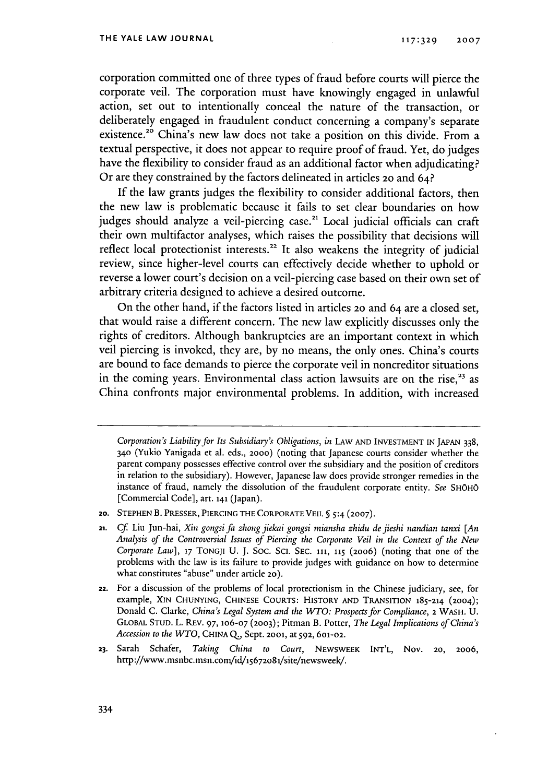corporation committed one of three types of fraud before courts will pierce the corporate veil. The corporation must have knowingly engaged in unlawful action, set out to intentionally conceal the nature of the transaction, or deliberately engaged in fraudulent conduct concerning a company's separate existence.<sup>20</sup> China's new law does not take a position on this divide. From a textual perspective, it does not appear to require proof of fraud. Yet, do judges have the flexibility to consider fraud as an additional factor when adjudicating? Or are they constrained by the factors delineated in articles 2o and 64?

If the law grants judges the flexibility to consider additional factors, then the new law is problematic because it fails to set clear boundaries on how judges should analyze a veil-piercing case.<sup>21</sup> Local judicial officials can craft their own multifactor analyses, which raises the possibility that decisions will reflect local protectionist interests.<sup>22</sup> It also weakens the integrity of judicial review, since higher-level courts can effectively decide whether to uphold or reverse a lower court's decision on a veil-piercing case based on their own set of arbitrary criteria designed to achieve a desired outcome.

On the other hand, if the factors listed in articles 2o and 64 are a closed set, that would raise a different concern. The new law explicitly discusses only the rights of creditors. Although bankruptcies are an important context in which veil piercing is invoked, they are, by no means, the only ones. China's courts are bound to face demands to pierce the corporate veil in noncreditor situations in the coming years. Environmental class action lawsuits are on the rise,  $23$  as China confronts major environmental problems. In addition, with increased

*Corporation's Liability for Its Subsidiary's Obligations, in* LAw **AND INVESTMENT** IN **JAPAN** 338, **340** (Yukio Yanigada et al. eds., **2000)** (noting that Japanese courts consider whether the parent company possesses effective control over the subsidiary and the position of creditors in relation to the subsidiary). However, Japanese law does provide stronger remedies in the instance of fraud, namely the dissolution of the fraudulent corporate entity. *See* SHOHo [Commercial Code], art. 141 (Japan).

**<sup>20.</sup> STEPHEN B.** PRESSER, **PIERCING** THE CORPORATE VEIL **§** 5:4 **(2007).**

<sup>21.</sup> *Cf.* Liu Jun-hai, *Xin gongsi fa zhong jiekai gongsi miansha zhidu de jieshi nandian tanxi [An Analysis of the Controversial Issues of Piercing the Corporate Veil in the Context of the New Corporate Law],* **17** TONGJI **U. J.** Soc. ScI. **SEC. 111, 115** (2006) (noting that one of the problems with the law is its failure to provide judges with guidance on how to determine what constitutes "abuse" under article 20).

**<sup>22.</sup>** For a discussion of the problems of local protectionism in the Chinese judiciary, see, for example, **XIN CHUNYING, CHINESE** COURTS: HISTORY **AND** TRANSITION 185-214 (2004); Donald **C.** Clarke, *China's Legal System and the WTO: Prospects for Compliance,* 2 WASH. U. GLOBAL **STUD.** L. REv. 97, 1O6-07 **(2003);** Pitman B. Potter, *The Legal Implications of China's Accession to the WTO, CHINA Q., Sept. 2001, at 592, 601-02.* 

**<sup>23.</sup>** Sarah Schafer, *Taking China to Court,* NEWSWEEK **INT'L,** Nov. 20, 2006, http://www.msnbc.msn.com/id/15672o81/site/newsweek/.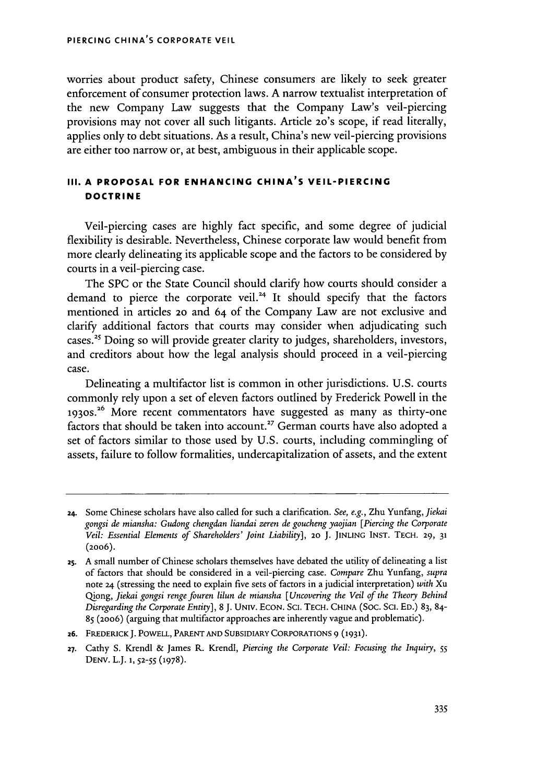worries about product safety, Chinese consumers are likely to seek greater enforcement of consumer protection laws. A narrow textualist interpretation of the new Company Law suggests that the Company Law's veil-piercing provisions may not cover all such litigants. Article **20's** scope, if read literally, applies only to debt situations. As a result, China's new veil-piercing provisions are either too narrow or, at best, ambiguous in their applicable scope.

# **III. A PROPOSAL FOR ENHANCING CHINA'S VEIL-PIERCING DOCTRINE**

Veil-piercing cases are highly fact specific, and some degree of judicial flexibility is desirable. Nevertheless, Chinese corporate law would benefit from more clearly delineating its applicable scope and the factors to be considered by courts in a veil-piercing case.

The SPC or the State Council should clarify how courts should consider a demand to pierce the corporate veil.<sup>24</sup> It should specify that the factors mentioned in articles **20** and 64 of the Company Law are not exclusive and clarify additional factors that courts may consider when adjudicating such cases.2' Doing so will provide greater clarity to judges, shareholders, investors, and creditors about how the legal analysis should proceed in a veil-piercing case.

Delineating a multifactor list is common in other jurisdictions. U.S. courts commonly rely upon a set of eleven factors outlined by Frederick Powell in the **1930s."** More recent commentators have suggested as many as thirty-one factors that should be taken into account.<sup>27</sup> German courts have also adopted a set of factors similar to those used by U.S. courts, including commingling of assets, failure to follow formalities, undercapitalization of assets, and the extent

**<sup>24.</sup>** Some Chinese scholars have also called for such a clarification. *See, e.g.,* Zhu Yunfang, *Jiekai gongsi de miansha: Gudong chengdan liandai zeren de goucheng yaojian [Piercing the Corporate Veil: Essential Elements of Shareholders' Joint Liability],* 20 J. **JINLING INST. TECH.** 29, **<sup>31</sup>** (2006).

**<sup>25.</sup>** A small number of Chinese scholars themselves have debated the utility of delineating a list of factors that should be considered in a veil-piercing case. *Compare* Zhu Yunfang, *supra* note *24* (stressing the need to explain five sets of factors in a judicial interpretation) *with* Xu Qiong, *Jiekai gongsi rengefouren lilun de miansha [Uncovering the Veil of the Theory Behind Disregarding the Corporate Entity],* 8 **J.** UNIv. **ECON.** Sci. **TECH.** CHINA (Soc. Sci. ED.) 83, 84- 85 (20o6) (arguing that multifactor approaches are inherently vague and problematic).

**z6. FREDERICKJ.** POWELL, **PARENT AND** SUBSIDIARY CORPORATIONS 9 (1931).

**<sup>27.</sup>** Cathy S. Krendl & James R. Krendl, *Piercing the Corporate Veil: Focusing the Inquiry, 55* **DENV.** L.J. **1, 52-55 (1978).**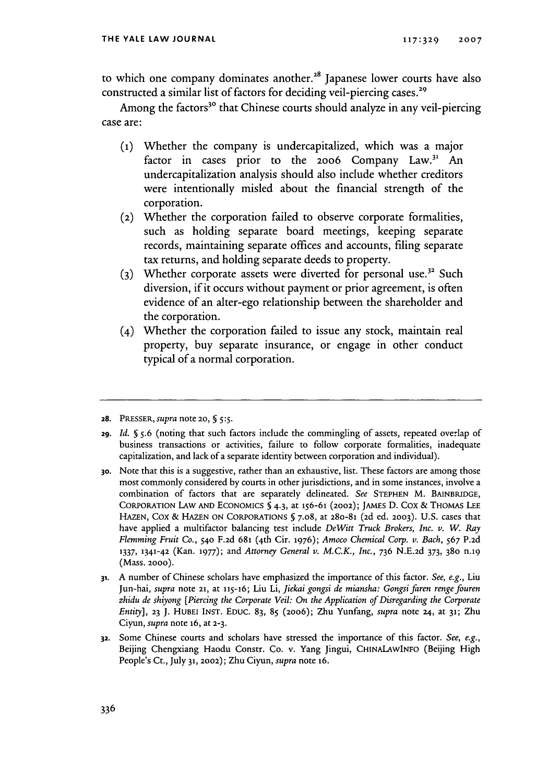to which one company dominates another. $^{28}$  Japanese lower courts have also constructed a similar list of factors for deciding veil-piercing cases.<sup>29</sup>

Among the factors<sup>30</sup> that Chinese courts should analyze in any veil-piercing case are:

- **(i)** Whether the company is undercapitalized, which was a major factor in cases prior to the 2006 Company  $Law<sup>31</sup>$  An undercapitalization analysis should also include whether creditors were intentionally misled about the financial strength of the corporation.
- (2) Whether the corporation failed to observe corporate formalities, such as holding separate board meetings, keeping separate records, maintaining separate offices and accounts, filing separate tax returns, and holding separate deeds to property.
- (3) Whether corporate assets were diverted for personal use.<sup>32</sup> Such diversion, if it occurs without payment or prior agreement, is often evidence of an alter-ego relationship between the shareholder and the corporation.
- (4) Whether the corporation failed to issue any stock, maintain real property, buy separate insurance, or engage in other conduct typical of a normal corporation.

**28.** PRESSER, *supra* note 2o, **§** *5:5.*

- **29.** *Id. § 5.6* (noting that such factors include the commingling of assets, repeated overlap of business transactions or activities, failure to follow corporate formalities, inadequate capitalization, and lack of a separate identity between corporation and individual).
- **3o.** Note that this is a suggestive, rather than an exhaustive, list. These factors are among those most commonly considered by courts in other jurisdictions, and in some instances, involve a combination of factors that are separately delineated. *See* STEPHEN M. BAINBRIDGE, CORPORATION LAW **AND** ECONOMICS **§** 4.3, at 156-61 (2002); JAMES D. Cox & THOMAS **LEE** HAZEN, Cox & **HAZEN ON CORPORATIONS §** 7.08, at 28o-81 (2d ed. **2003).** U.S. cases that have applied a multifactor balancing test include *DeWitt Truck Brokers, Inc. v. W. Ray Flemming Fruit Co.,* **540** F.2d **681** (4th Cir. **1976);** *Amoco Chemical Corp. v. Bach,* 567 P.2d **1337,** 1341-42 (Kan. **1977);** and *Attorney General v. M.C.K., Inc.,* 736 N.E.2d 373, **380** n.19 (Mass. **2000).**
- **31.** A number of Chinese scholars have emphasized the importance of this factor. *See, e.g.,* Liu Jun-hai, *supra* note **21,** at **115-16;** Liu Li, *Jiekai gongsi de miansha: Gongsi faren renge fouren zhidu de shiyong [Piercing the Corporate Veil: On the Application of Disregarding the Corporate Entity],* **23 J.** HUBEI INST. EDUC. 83, **85** (2006); Zhu Yunfang, *supra* note **24, at 31;** Zhu Ciyun, *supra* note 16, at **2-3.**
- **32.** Some Chinese courts and scholars have stressed the importance of this factor. *See, e.g.,* Beijing Chengxiang Haodu Constr. Co. v. Yang Jingui, CHINALAWINFO (Beijing High People's Ct., July **31,** 2002); Zhu Ciyun, *supra* note 16.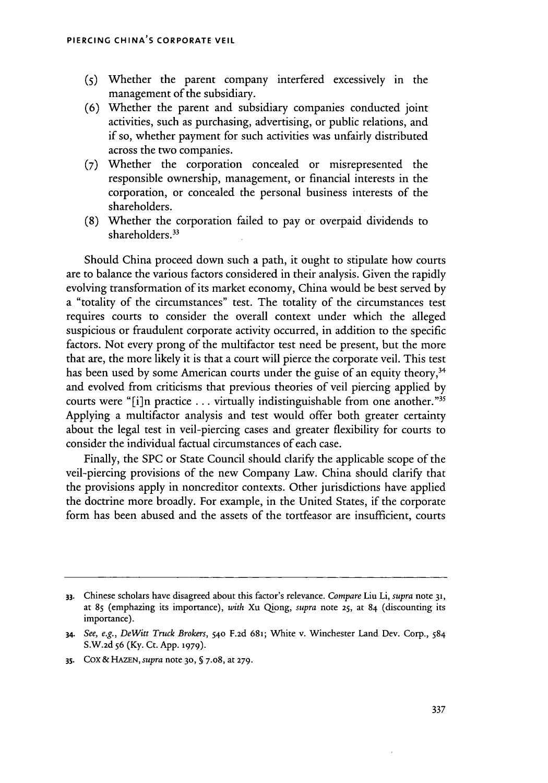- **(5)** Whether the parent company interfered excessively in the management of the subsidiary.
- (6) Whether the parent and subsidiary companies conducted joint activities, such as purchasing, advertising, or public relations, and if so, whether payment for such activities was unfairly distributed across the two companies.
- **(7)** Whether the corporation concealed or misrepresented the responsible ownership, management, or financial interests in the corporation, or concealed the personal business interests of the shareholders.
- (8) Whether the corporation failed to pay or overpaid dividends to shareholders.<sup>33</sup>

Should China proceed down such a path, it ought to stipulate how courts are to balance the various factors considered in their analysis. Given the rapidly evolving transformation of its market economy, China would be best served by a "totality of the circumstances" test. The totality of the circumstances test requires courts to consider the overall context under which the alleged suspicious or fraudulent corporate activity occurred, in addition to the specific factors. Not every prong of the multifactor test need be present, but the more that are, the more likely it is that a court will pierce the corporate veil. This test has been used by some American courts under the guise of an equity theory,<sup>34</sup> and evolved from criticisms that previous theories of veil piercing applied by courts were "[i]n practice ... virtually indistinguishable from one another."3 Applying a multifactor analysis and test would offer both greater certainty about the legal test in veil-piercing cases and greater flexibility for courts to consider the individual factual circumstances of each case.

Finally, the SPC or State Council should clarify the applicable scope of the veil-piercing provisions of the new Company Law. China should clarify that the provisions apply in noncreditor contexts. Other jurisdictions have applied the doctrine more broadly. For example, in the United States, if the corporate form has been abused and the assets of the tortfeasor are insufficient, courts

**35. Cox** & HAZEN, *supra* note **30, §** 7.08, at **279.**

**<sup>33.</sup>** Chinese scholars have disagreed about this factor's relevance. *Compare* Liu Li, *supra* note **31,** at 85 (emphazing its importance), with Xu Qiong, *supra* note 25, at 84 (discounting its importance).

*<sup>34.</sup> See, e.g., DeWitt Truck Brokers,* 54o F.2d 681; White v. Winchester Land Dev. Corp., 584 S.W.2d 56 (Ky. Ct. App. **1979).**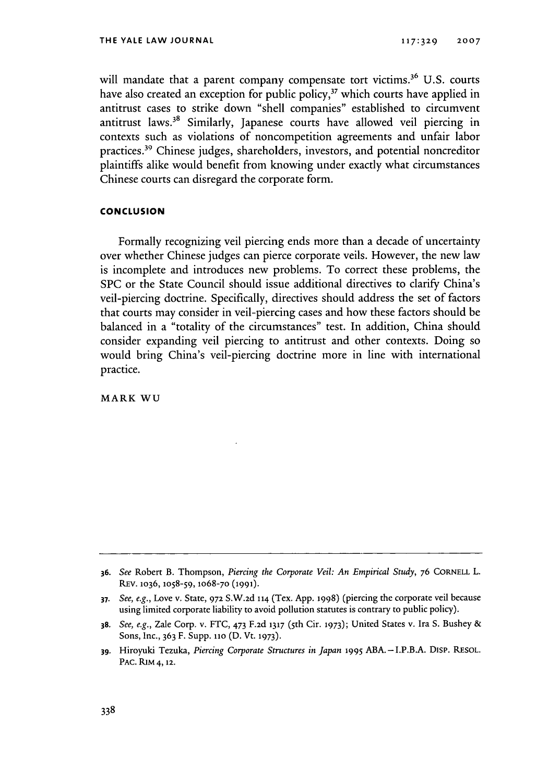will mandate that a parent company compensate tort victims.<sup>36</sup> U.S. courts have also created an exception for public policy,<sup>37</sup> which courts have applied in antitrust cases to strike down "shell companies" established to circumvent antitrust laws.<sup>38</sup> Similarly, Japanese courts have allowed veil piercing in contexts such as violations of noncompetition agreements and unfair labor practices.39 Chinese judges, shareholders, investors, and potential noncreditor plaintiffs alike would benefit from knowing under exactly what circumstances Chinese courts can disregard the corporate form.

# **CONCLUSION**

Formally recognizing veil piercing ends more than a decade of uncertainty over whether Chinese judges can pierce corporate veils. However, the new law is incomplete and introduces new problems. To correct these problems, the SPC or the State Council should issue additional directives to clarify China's veil-piercing doctrine. Specifically, directives should address the set of factors that courts may consider in veil-piercing cases and how these factors should be balanced in a "totality of the circumstances" test. In addition, China should consider expanding veil piercing to antitrust and other contexts. Doing so would bring China's veil-piercing doctrine more in line with international practice.

MARK WU

**<sup>36.</sup>** *See* Robert B. Thompson, *Piercing the Corporate Veil: An Empirical Study,* **76 CORNELL** L. REV. **1036,** 1O58-59, lO68-70 **(1991).**

**<sup>37.</sup>** *See, e.g.,* Love v. State, **972** S.W.2d 114 (Tex. App. 1998) (piercing the corporate veil because using limited corporate liability to avoid pollution statutes is contrary to public policy).

**<sup>38.</sup>** *See, e.g.,* Zale Corp. v. FTC, 473 F.2d **1317** ( 5th Cir. **1973);** United States v. Ira S. Bushey & Sons, Inc., 363 F. Supp. **11o** (D. Vt. **1973).**

**<sup>39.</sup>** Hiroyuki Tezuka, *Piercing Corporate Structures in Japan* **1995** ABA.-I.P.B.A. DiSp. RESOL. PAC. RIM 4,12.